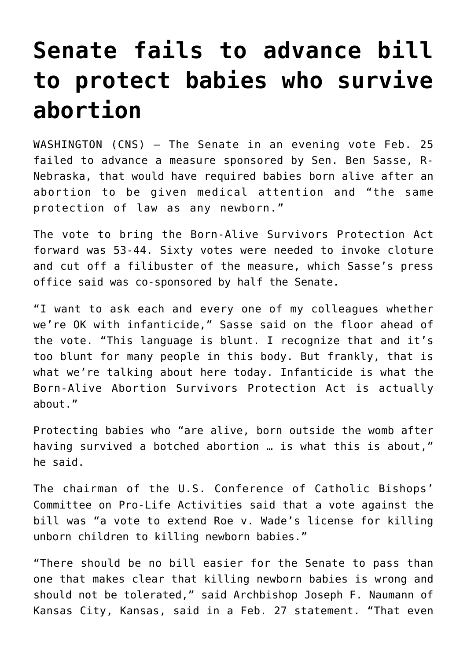## **[Senate fails to advance bill](https://www.osvnews.com/2019/02/26/measure-to-protect-babies-who-survive-abortion-fails-in-senate-53-44/) [to protect babies who survive](https://www.osvnews.com/2019/02/26/measure-to-protect-babies-who-survive-abortion-fails-in-senate-53-44/) [abortion](https://www.osvnews.com/2019/02/26/measure-to-protect-babies-who-survive-abortion-fails-in-senate-53-44/)**

WASHINGTON (CNS) — The Senate in an evening vote Feb. 25 failed to advance a measure sponsored by Sen. Ben Sasse, R-Nebraska, that would have required babies born alive after an abortion to be given medical attention and "the same protection of law as any newborn."

The vote to bring the Born-Alive Survivors Protection Act forward was 53-44. Sixty votes were needed to invoke cloture and cut off a filibuster of the measure, which Sasse's press office said was co-sponsored by half the Senate.

"I want to ask each and every one of my colleagues whether we're OK with infanticide," Sasse said on the floor ahead of the vote. "This language is blunt. I recognize that and it's too blunt for many people in this body. But frankly, that is what we're talking about here today. Infanticide is what the Born-Alive Abortion Survivors Protection Act is actually about."

Protecting babies who "are alive, born outside the womb after having survived a botched abortion … is what this is about," he said.

The chairman of the U.S. Conference of Catholic Bishops' Committee on Pro-Life Activities said that a vote against the bill was "a vote to extend Roe v. Wade's license for killing unborn children to killing newborn babies."

"There should be no bill easier for the Senate to pass than one that makes clear that killing newborn babies is wrong and should not be tolerated," said Archbishop Joseph F. Naumann of Kansas City, Kansas, said in a Feb. 27 statement. "That even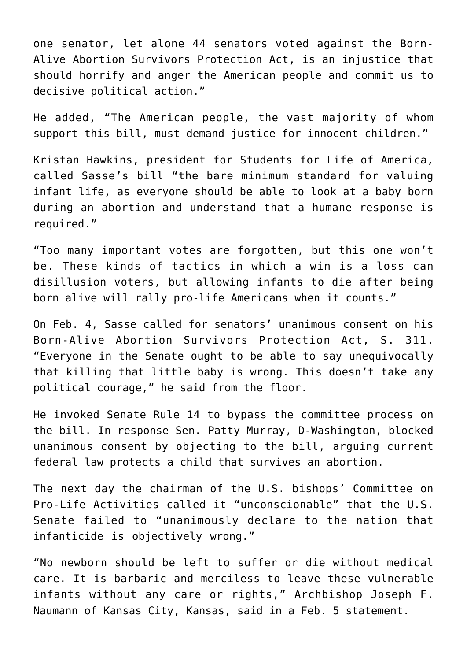one senator, let alone 44 senators voted against the Born-Alive Abortion Survivors Protection Act, is an injustice that should horrify and anger the American people and commit us to decisive political action."

He added, "The American people, the vast majority of whom support this bill, must demand justice for innocent children."

Kristan Hawkins, president for Students for Life of America, called Sasse's bill "the bare minimum standard for valuing infant life, as everyone should be able to look at a baby born during an abortion and understand that a humane response is required."

"Too many important votes are forgotten, but this one won't be. These kinds of tactics in which a win is a loss can disillusion voters, but allowing infants to die after being born alive will rally pro-life Americans when it counts."

On Feb. 4, Sasse called for senators' unanimous consent on his Born-Alive Abortion Survivors Protection Act, S. 311. "Everyone in the Senate ought to be able to say unequivocally that killing that little baby is wrong. This doesn't take any political courage," he said from the floor.

He invoked Senate Rule 14 to bypass the committee process on the bill. In response Sen. Patty Murray, D-Washington, blocked unanimous consent by objecting to the bill, arguing current federal law protects a child that survives an abortion.

The next day the chairman of the U.S. bishops' Committee on Pro-Life Activities called it "unconscionable" that the U.S. Senate failed to "unanimously declare to the nation that infanticide is objectively wrong."

"No newborn should be left to suffer or die without medical care. It is barbaric and merciless to leave these vulnerable infants without any care or rights," Archbishop Joseph F. Naumann of Kansas City, Kansas, said in a Feb. 5 statement.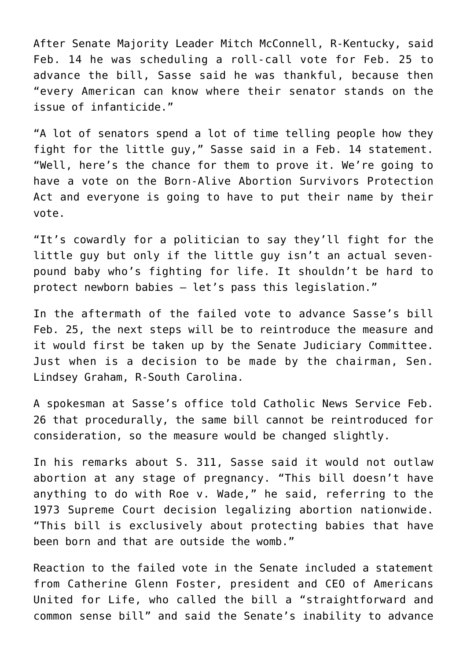After Senate Majority Leader Mitch McConnell, R-Kentucky, said Feb. 14 he was scheduling a roll-call vote for Feb. 25 to advance the bill, Sasse said he was thankful, because then "every American can know where their senator stands on the issue of infanticide."

"A lot of senators spend a lot of time telling people how they fight for the little guy," Sasse said in a Feb. 14 statement. "Well, here's the chance for them to prove it. We're going to have a vote on the Born-Alive Abortion Survivors Protection Act and everyone is going to have to put their name by their vote.

"It's cowardly for a politician to say they'll fight for the little guy but only if the little guy isn't an actual sevenpound baby who's fighting for life. It shouldn't be hard to protect newborn babies — let's pass this legislation."

In the aftermath of the failed vote to advance Sasse's bill Feb. 25, the next steps will be to reintroduce the measure and it would first be taken up by the Senate Judiciary Committee. Just when is a decision to be made by the chairman, Sen. Lindsey Graham, R-South Carolina.

A spokesman at Sasse's office told Catholic News Service Feb. 26 that procedurally, the same bill cannot be reintroduced for consideration, so the measure would be changed slightly.

In his remarks about S. 311, Sasse said it would not outlaw abortion at any stage of pregnancy. "This bill doesn't have anything to do with Roe v. Wade," he said, referring to the 1973 Supreme Court decision legalizing abortion nationwide. "This bill is exclusively about protecting babies that have been born and that are outside the womb."

Reaction to the failed vote in the Senate included a statement from Catherine Glenn Foster, president and CEO of Americans United for Life, who called the bill a "straightforward and common sense bill" and said the Senate's inability to advance